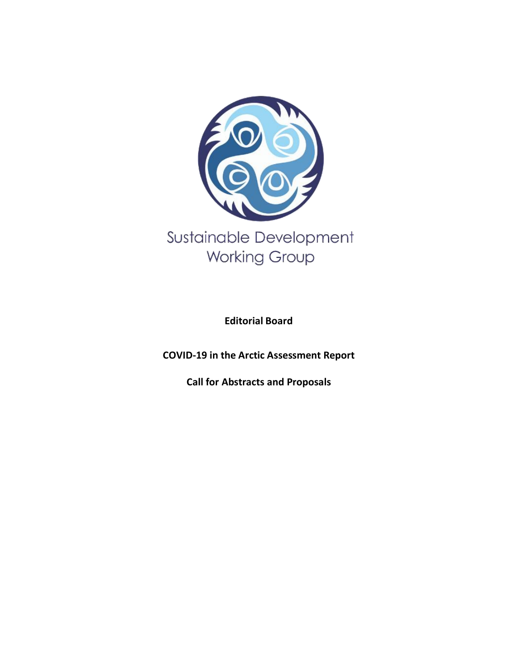

**Editorial Board**

**COVID-19 in the Arctic Assessment Report**

**Call for Abstracts and Proposals**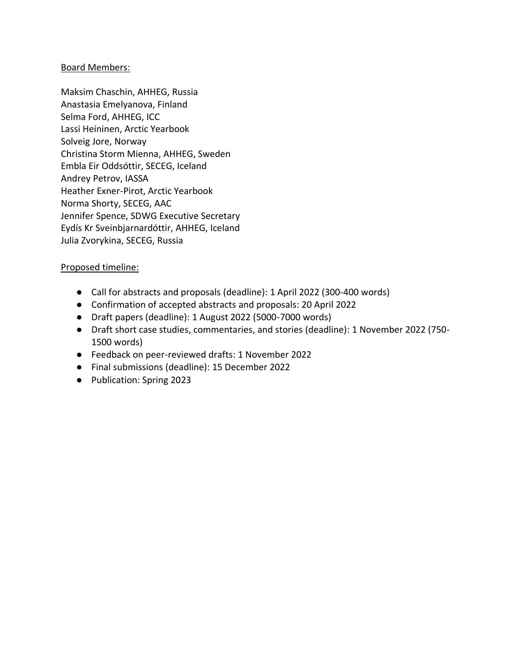#### Board Members:

Maksim Chaschin, AHHEG, Russia Anastasia Emelyanova, Finland Selma Ford, AHHEG, ICC Lassi Heininen, Arctic Yearbook Solveig Jore, Norway Christina Storm Mienna, AHHEG, Sweden Embla Eir Oddsóttir, SECEG, Iceland Andrey Petrov, IASSA Heather Exner-Pirot, Arctic Yearbook Norma Shorty, SECEG, AAC Jennifer Spence, SDWG Executive Secretary Eydís Kr Sveinbjarnardóttir, AHHEG, Iceland Julia Zvorykina, SECEG, Russia

### Proposed timeline:

- Call for abstracts and proposals (deadline): 1 April 2022 (300-400 words)
- Confirmation of accepted abstracts and proposals: 20 April 2022
- Draft papers (deadline): 1 August 2022 (5000-7000 words)
- Draft short case studies, commentaries, and stories (deadline): 1 November 2022 (750- 1500 words)
- Feedback on peer-reviewed drafts: 1 November 2022
- Final submissions (deadline): 15 December 2022
- Publication: Spring 2023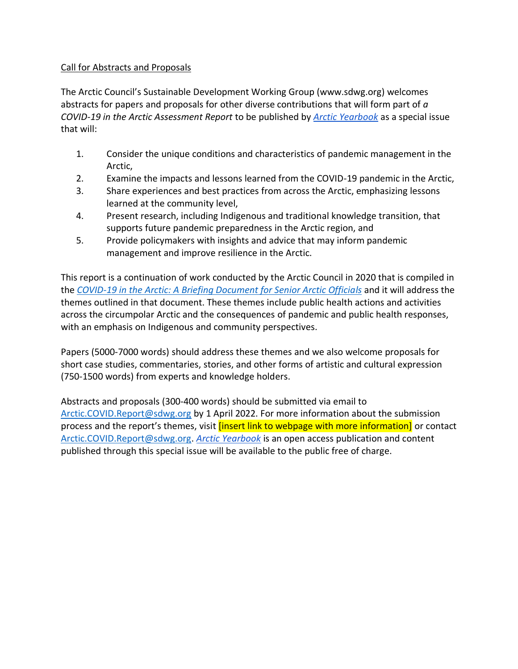# Call for Abstracts and Proposals

The Arctic Council's Sustainable Development Working Group (www.sdwg.org) welcomes abstracts for papers and proposals for other diverse contributions that will form part of *a COVID-19 in the Arctic Assessment Report* to be published by *[Arctic Yearbook](https://arcticyearbook.com/)* as a special issue that will:

- 1. Consider the unique conditions and characteristics of pandemic management in the Arctic,
- 2. Examine the impacts and lessons learned from the COVID-19 pandemic in the Arctic,
- 3. Share experiences and best practices from across the Arctic, emphasizing lessons learned at the community level,
- 4. Present research, including Indigenous and traditional knowledge transition, that supports future pandemic preparedness in the Arctic region, and
- 5. Provide policymakers with insights and advice that may inform pandemic management and improve resilience in the Arctic.

This report is a continuation of work conducted by the Arctic Council in 2020 that is compiled in the *[COVID-19 in the Arctic: A Briefing Document for Senior Arctic Officials](https://oaarchive.arctic-council.org/handle/11374/2473)* and it will address the themes outlined in that document. These themes include public health actions and activities across the circumpolar Arctic and the consequences of pandemic and public health responses, with an emphasis on Indigenous and community perspectives.

Papers (5000-7000 words) should address these themes and we also welcome proposals for short case studies, commentaries, stories, and other forms of artistic and cultural expression (750-1500 words) from experts and knowledge holders.

Abstracts and proposals (300-400 words) should be submitted via email to [Arctic.COVID.Report@sdwg.org](mailto:Arctic.COVID.Report@sdwg.org) by 1 April 2022. For more information about the submission process and the report's themes, visit *[insert link to webpage with more information]* or contact [Arctic.COVID.Report@sdwg.org.](mailto:Arctic.COVID.Report@sdwg.org) *[Arctic Yearbook](https://arcticyearbook.com/)* is an open access publication and content published through this special issue will be available to the public free of charge.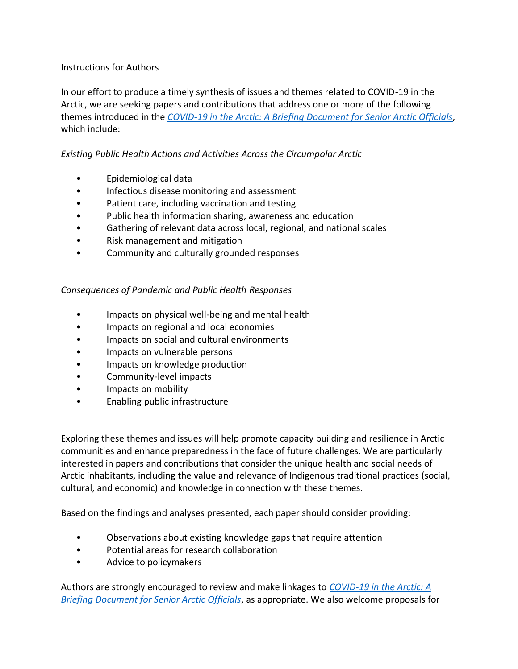## Instructions for Authors

In our effort to produce a timely synthesis of issues and themes related to COVID-19 in the Arctic, we are seeking papers and contributions that address one or more of the following themes introduced in the *[COVID-19 in the Arctic: A Briefing Document for Senior Arctic Officials](https://oaarchive.arctic-council.org/handle/11374/2473)*, which include:

## *Existing Public Health Actions and Activities Across the Circumpolar Arctic*

- Epidemiological data
- Infectious disease monitoring and assessment
- Patient care, including vaccination and testing
- Public health information sharing, awareness and education
- Gathering of relevant data across local, regional, and national scales
- Risk management and mitigation
- Community and culturally grounded responses

### *Consequences of Pandemic and Public Health Responses*

- Impacts on physical well-being and mental health
- Impacts on regional and local economies
- Impacts on social and cultural environments
- Impacts on vulnerable persons
- Impacts on knowledge production
- Community-level impacts
- Impacts on mobility
- Enabling public infrastructure

Exploring these themes and issues will help promote capacity building and resilience in Arctic communities and enhance preparedness in the face of future challenges. We are particularly interested in papers and contributions that consider the unique health and social needs of Arctic inhabitants, including the value and relevance of Indigenous traditional practices (social, cultural, and economic) and knowledge in connection with these themes.

Based on the findings and analyses presented, each paper should consider providing:

- Observations about existing knowledge gaps that require attention
- Potential areas for research collaboration
- Advice to policymakers

Authors are strongly encouraged to review and make linkages to *[COVID-19 in the Arctic: A](https://oaarchive.arctic-council.org/handle/11374/2473)  [Briefing Document for Senior Arctic Officials](https://oaarchive.arctic-council.org/handle/11374/2473)*, as appropriate. We also welcome proposals for